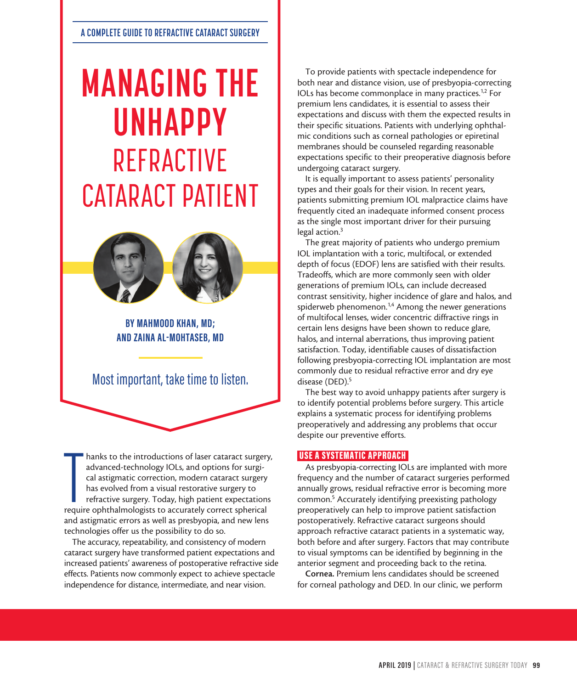# **MANAGING THE UNHAPPY** REFRACTIVE CATARACT PATIENT



**BY MAHMOOD KHAN, MD; AND ZAINA AL-MOHTASEB, MD**

Most important, take time to listen.

hanks to the introductions of laser cataract surgery<br>advanced-technology IOLs, and options for surgi-<br>cal astigmatic correction, modern cataract surgery<br>has evolved from a visual restorative surgery to<br>refractive surgery. hanks to the introductions of laser cataract surgery, advanced-technology IOLs, and options for surgical astigmatic correction, modern cataract surgery has evolved from a visual restorative surgery to refractive surgery. Today, high patient expectations and astigmatic errors as well as presbyopia, and new lens technologies offer us the possibility to do so.

The accuracy, repeatability, and consistency of modern cataract surgery have transformed patient expectations and increased patients' awareness of postoperative refractive side effects. Patients now commonly expect to achieve spectacle independence for distance, intermediate, and near vision.

To provide patients with spectacle independence for both near and distance vision, use of presbyopia-correcting IOLs has become commonplace in many practices.1,2 For premium lens candidates, it is essential to assess their expectations and discuss with them the expected results in their specific situations. Patients with underlying ophthalmic conditions such as corneal pathologies or epiretinal membranes should be counseled regarding reasonable expectations specific to their preoperative diagnosis before undergoing cataract surgery.

It is equally important to assess patients' personality types and their goals for their vision. In recent years, patients submitting premium IOL malpractice claims have frequently cited an inadequate informed consent process as the single most important driver for their pursuing legal action.3

The great majority of patients who undergo premium IOL implantation with a toric, multifocal, or extended depth of focus (EDOF) lens are satisfied with their results. Tradeoffs, which are more commonly seen with older generations of premium IOLs, can include decreased contrast sensitivity, higher incidence of glare and halos, and spiderweb phenomenon.<sup>1,4</sup> Among the newer generations of multifocal lenses, wider concentric diffractive rings in certain lens designs have been shown to reduce glare, halos, and internal aberrations, thus improving patient satisfaction. Today, identifiable causes of dissatisfaction following presbyopia-correcting IOL implantation are most commonly due to residual refractive error and dry eye disease (DED).<sup>5</sup>

The best way to avoid unhappy patients after surgery is to identify potential problems before surgery. This article explains a systematic process for identifying problems preoperatively and addressing any problems that occur despite our preventive efforts.

## USE A SYSTEMATIC APPROACH

As presbyopia-correcting IOLs are implanted with more frequency and the number of cataract surgeries performed annually grows, residual refractive error is becoming more common.5 Accurately identifying preexisting pathology preoperatively can help to improve patient satisfaction postoperatively. Refractive cataract surgeons should approach refractive cataract patients in a systematic way, both before and after surgery. Factors that may contribute to visual symptoms can be identified by beginning in the anterior segment and proceeding back to the retina.

Cornea. Premium lens candidates should be screened for corneal pathology and DED. In our clinic, we perform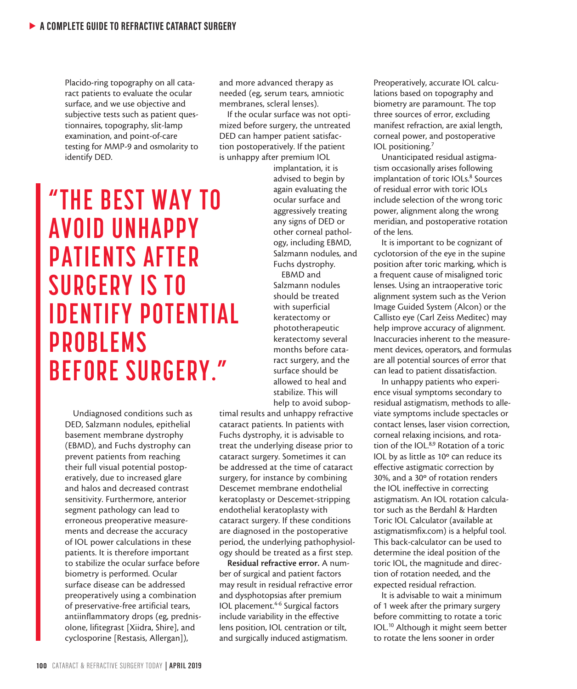Placido-ring topography on all cataract patients to evaluate the ocular surface, and we use objective and subjective tests such as patient questionnaires, topography, slit-lamp examination, and point-of-care testing for MMP-9 and osmolarity to identify DED.

and more advanced therapy as needed (eg, serum tears, amniotic membranes, scleral lenses).

If the ocular surface was not optimized before surgery, the untreated DED can hamper patient satisfaction postoperatively. If the patient is unhappy after premium IOL

implantation, it is advised to begin by again evaluating the ocular surface and aggressively treating any signs of DED or other corneal pathology, including EBMD, Salzmann nodules, and Fuchs dystrophy.

EBMD and Salzmann nodules should be treated with superficial keratectomy or phototherapeutic keratectomy several months before cataract surgery, and the surface should be allowed to heal and stabilize. This will help to avoid subop-

timal results and unhappy refractive cataract patients. In patients with Fuchs dystrophy, it is advisable to treat the underlying disease prior to cataract surgery. Sometimes it can be addressed at the time of cataract surgery, for instance by combining Descemet membrane endothelial keratoplasty or Descemet-stripping endothelial keratoplasty with cataract surgery. If these conditions are diagnosed in the postoperative period, the underlying pathophysiology should be treated as a first step.

Residual refractive error. A number of surgical and patient factors may result in residual refractive error and dysphotopsias after premium IOL placement.4-6 Surgical factors include variability in the effective lens position, IOL centration or tilt, and surgically induced astigmatism.

Preoperatively, accurate IOL calculations based on topography and biometry are paramount. The top three sources of error, excluding manifest refraction, are axial length, corneal power, and postoperative IOL positioning.7

Unanticipated residual astigmatism occasionally arises following implantation of toric IOLs.<sup>8</sup> Sources of residual error with toric IOLs include selection of the wrong toric power, alignment along the wrong meridian, and postoperative rotation of the lens.

It is important to be cognizant of cyclotorsion of the eye in the supine position after toric marking, which is a frequent cause of misaligned toric lenses. Using an intraoperative toric alignment system such as the Verion Image Guided System (Alcon) or the Callisto eye (Carl Zeiss Meditec) may help improve accuracy of alignment. Inaccuracies inherent to the measurement devices, operators, and formulas are all potential sources of error that can lead to patient dissatisfaction.

In unhappy patients who experience visual symptoms secondary to residual astigmatism, methods to alleviate symptoms include spectacles or contact lenses, laser vision correction, corneal relaxing incisions, and rotation of the IOL.8,9 Rotation of a toric IOL by as little as 10º can reduce its effective astigmatic correction by 30%, and a 30º of rotation renders the IOL ineffective in correcting astigmatism. An IOL rotation calculator such as the Berdahl & Hardten Toric IOL Calculator (available at astigmatismfix.com) is a helpful tool. This back-calculator can be used to determine the ideal position of the toric IOL, the magnitude and direction of rotation needed, and the expected residual refraction.

It is advisable to wait a minimum of 1 week after the primary surgery before committing to rotate a toric IOL.10 Although it might seem better to rotate the lens sooner in order

# **"THE BEST WAY TO AVOID UNHAPPY PATIENTS AFTER SURGERY IS TO IDENTIFY POTENTIAL PROBLEMS BEFORE SURGERY."**

Undiagnosed conditions such as DED, Salzmann nodules, epithelial basement membrane dystrophy (EBMD), and Fuchs dystrophy can prevent patients from reaching their full visual potential postoperatively, due to increased glare and halos and decreased contrast sensitivity. Furthermore, anterior segment pathology can lead to erroneous preoperative measurements and decrease the accuracy of IOL power calculations in these patients. It is therefore important to stabilize the ocular surface before biometry is performed. Ocular surface disease can be addressed preoperatively using a combination of preservative-free artificial tears, antiinflammatory drops (eg, prednisolone, lifitegrast [Xiidra, Shire], and cyclosporine [Restasis, Allergan]),